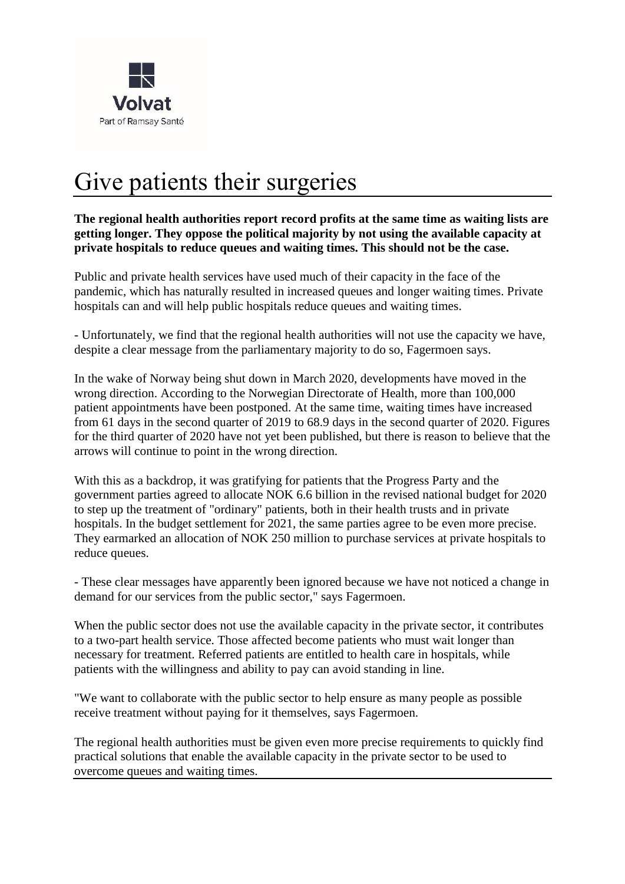

## Give patients their surgeries

**The regional health authorities report record profits at the same time as waiting lists are getting longer. They oppose the political majority by not using the available capacity at private hospitals to reduce queues and waiting times. This should not be the case.** 

Public and private health services have used much of their capacity in the face of the pandemic, which has naturally resulted in increased queues and longer waiting times. Private hospitals can and will help public hospitals reduce queues and waiting times.

- Unfortunately, we find that the regional health authorities will not use the capacity we have, despite a clear message from the parliamentary majority to do so, Fagermoen says.

In the wake of Norway being shut down in March 2020, developments have moved in the wrong direction. According to the Norwegian Directorate of Health, more than 100,000 patient appointments have been postponed. At the same time, waiting times have increased from 61 days in the second quarter of 2019 to 68.9 days in the second quarter of 2020. Figures for the third quarter of 2020 have not yet been published, but there is reason to believe that the arrows will continue to point in the wrong direction.

With this as a backdrop, it was gratifying for patients that the Progress Party and the government parties agreed to allocate NOK 6.6 billion in the revised national budget for 2020 to step up the treatment of "ordinary" patients, both in their health trusts and in private hospitals. In the budget settlement for 2021, the same parties agree to be even more precise. They earmarked an allocation of NOK 250 million to purchase services at private hospitals to reduce queues.

- These clear messages have apparently been ignored because we have not noticed a change in demand for our services from the public sector," says Fagermoen.

When the public sector does not use the available capacity in the private sector, it contributes to a two-part health service. Those affected become patients who must wait longer than necessary for treatment. Referred patients are entitled to health care in hospitals, while patients with the willingness and ability to pay can avoid standing in line.

"We want to collaborate with the public sector to help ensure as many people as possible receive treatment without paying for it themselves, says Fagermoen.

The regional health authorities must be given even more precise requirements to quickly find practical solutions that enable the available capacity in the private sector to be used to overcome queues and waiting times.